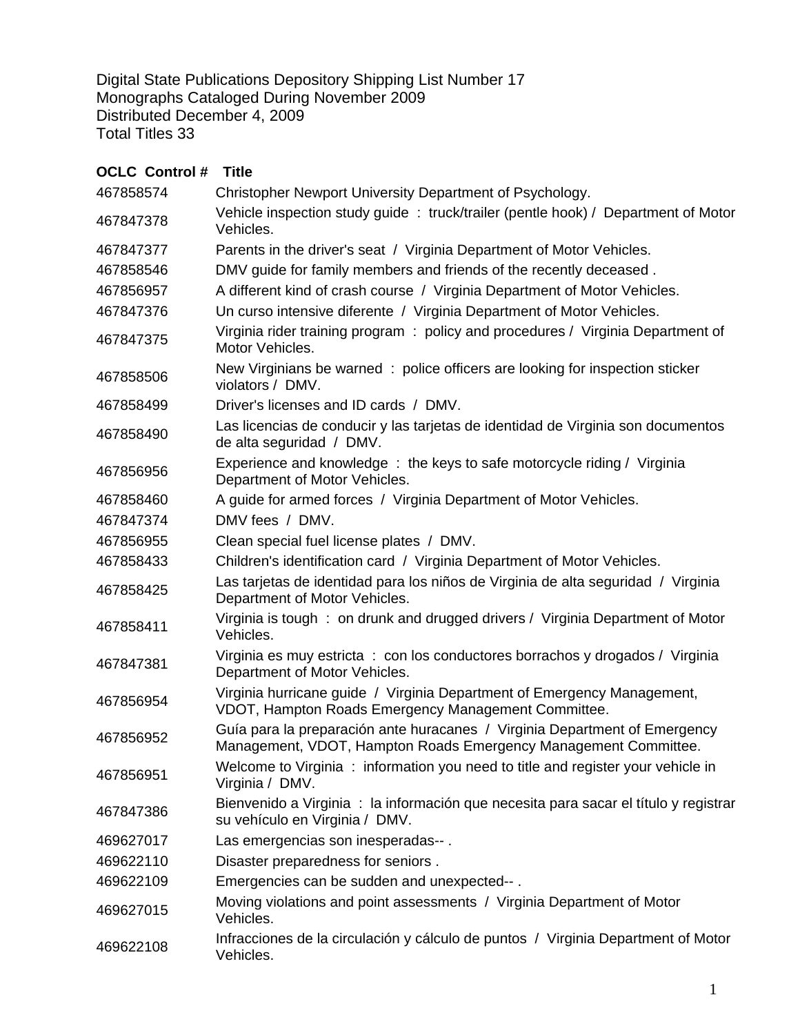Digital State Publications Depository Shipping List Number 17 Monographs Cataloged During November 2009 Distributed December 4, 2009 Total Titles 33

## **OCLC Control # Title** 467858574 Christopher Newport University Department of Psychology. <sup>467847378</sup>Vehicle inspection study guide : truck/trailer (pentle hook) / Department of Motor Vehicles. 467847377 Parents in the driver's seat / Virginia Department of Motor Vehicles. 467858546 DMV guide for family members and friends of the recently deceased . 467856957 A different kind of crash course / Virginia Department of Motor Vehicles. 467847376 Un curso intensive diferente / Virginia Department of Motor Vehicles. <sup>467847375</sup>Virginia rider training program : policy and procedures / Virginia Department of Motor Vehicles. A67858506 New Virginians be warned : police officers are looking for inspection sticker violators / DMV. 467858499 Driver's licenses and ID cards / DMV. <sup>467858490</sup>Las licencias de conducir y las tarjetas de identidad de Virginia son documentos de alta seguridad / DMV. <sup>467856956</sup>Experience and knowledge : the keys to safe motorcycle riding / Virginia Department of Motor Vehicles. 467858460 A guide for armed forces / Virginia Department of Motor Vehicles. 467847374 DMV fees / DMV. 467856955 Clean special fuel license plates / DMV. 467858433 Children's identification card / Virginia Department of Motor Vehicles. <sup>467858425</sup>Las tarjetas de identidad para los niños de Virginia de alta seguridad / Virginia Department of Motor Vehicles. <sup>467858411</sup>Virginia is tough : on drunk and drugged drivers / Virginia Department of Motor Vehicles. <sup>467847381</sup>Virginia es muy estricta : con los conductores borrachos y drogados / Virginia Department of Motor Vehicles. <sup>467856954</sup>Virginia hurricane guide / Virginia Department of Emergency Management, VDOT, Hampton Roads Emergency Management Committee. <sup>467856952</sup>Guía para la preparación ante huracanes / Virginia Department of Emergency Management, VDOT, Hampton Roads Emergency Management Committee. <sup>467856951</sup>Welcome to Virginia : information you need to title and register your vehicle in Virginia / DMV. <sup>467847386</sup>Bienvenido a Virginia : la información que necesita para sacar el título y registrar su vehículo en Virginia / DMV. 469627017 Las emergencias son inesperadas-- . 469622110 Disaster preparedness for seniors . 469622109 Emergencies can be sudden and unexpected-- . <sup>469627015</sup>Moving violations and point assessments / Virginia Department of Motor Vehicles.

<sup>469622108</sup>Infracciones de la circulación y cálculo de puntos / Virginia Department of Motor Vehicles.